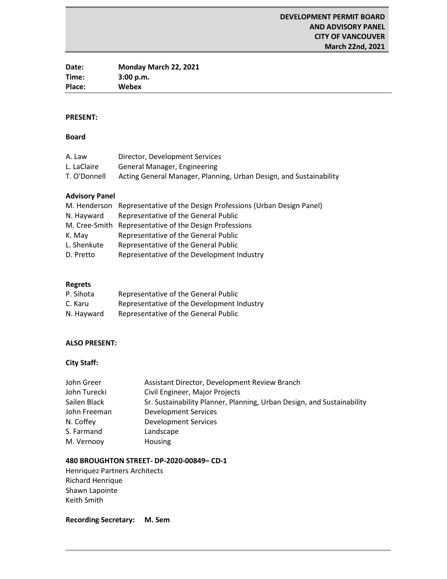**Date: Monday March 22, 2021 Time: 3:00 p.m. Place: Webex** 

# **PRESENT:**

## **Board**

| A. Law       | Director, Development Services                                     |
|--------------|--------------------------------------------------------------------|
| L. LaClaire  | <b>General Manager, Engineering</b>                                |
| T. O'Donnell | Acting General Manager, Planning, Urban Design, and Sustainability |

## **Advisory Panel**

|             | M. Henderson Representative of the Design Professions (Urban Design Panel) |
|-------------|----------------------------------------------------------------------------|
| N. Hayward  | Representative of the General Public                                       |
|             | M. Cree-Smith Representative of the Design Professions                     |
| K. May      | Representative of the General Public                                       |
| L. Shenkute | Representative of the General Public                                       |
| D. Pretto   | Representative of the Development Industry                                 |

### **Regrets**

| P. Sihota  | Representative of the General Public       |
|------------|--------------------------------------------|
| C. Karu    | Representative of the Development Industry |
| N. Hayward | Representative of the General Public       |

## **ALSO PRESENT:**

# **City Staff:**

| John Greer   | Assistant Director, Development Review Branch                          |
|--------------|------------------------------------------------------------------------|
| John Turecki | Civil Engineer, Major Projects                                         |
| Sailen Black | Sr. Sustainability Planner, Planning, Urban Design, and Sustainability |
| John Freeman | <b>Development Services</b>                                            |
| N. Coffey    | <b>Development Services</b>                                            |
| S. Farmand   | Landscape                                                              |
| M. Vernooy   | Housing                                                                |

## **480 BROUGHTON STREET- DP-2020-00849– CD-1**

Henriquez Partners Architects Richard Henrique Shawn Lapointe Keith Smith

**Recording Secretary: M. Sem**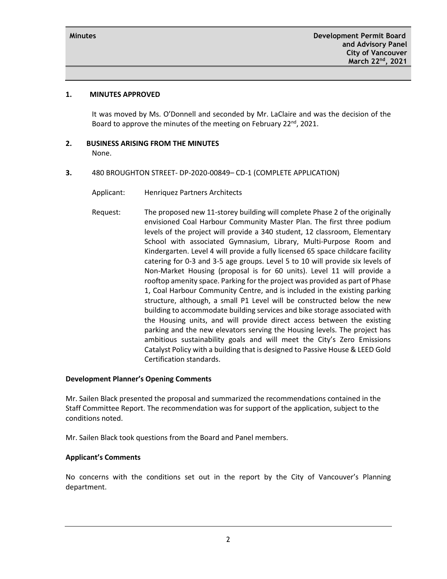### **1. MINUTES APPROVED**

It was moved by Ms. O'Donnell and seconded by Mr. LaClaire and was the decision of the Board to approve the minutes of the meeting on February 22<sup>nd</sup>, 2021.

# **2. BUSINESS ARISING FROM THE MINUTES**

None.

- **3.** 480 BROUGHTON STREET- DP-2020-00849– CD-1 (COMPLETE APPLICATION)
	- Applicant: Henriquez Partners Architects
	- Request: The proposed new 11-storey building will complete Phase 2 of the originally envisioned Coal Harbour Community Master Plan. The first three podium levels of the project will provide a 340 student, 12 classroom, Elementary School with associated Gymnasium, Library, Multi-Purpose Room and Kindergarten. Level 4 will provide a fully licensed 65 space childcare facility catering for 0-3 and 3-5 age groups. Level 5 to 10 will provide six levels of Non-Market Housing (proposal is for 60 units). Level 11 will provide a rooftop amenity space. Parking for the project was provided as part of Phase 1, Coal Harbour Community Centre, and is included in the existing parking structure, although, a small P1 Level will be constructed below the new building to accommodate building services and bike storage associated with the Housing units, and will provide direct access between the existing parking and the new elevators serving the Housing levels. The project has ambitious sustainability goals and will meet the City's Zero Emissions Catalyst Policy with a building that is designed to Passive House & LEED Gold Certification standards.

### **Development Planner's Opening Comments**

Mr. Sailen Black presented the proposal and summarized the recommendations contained in the Staff Committee Report. The recommendation was for support of the application, subject to the conditions noted.

Mr. Sailen Black took questions from the Board and Panel members.

### **Applicant's Comments**

No concerns with the conditions set out in the report by the City of Vancouver's Planning department.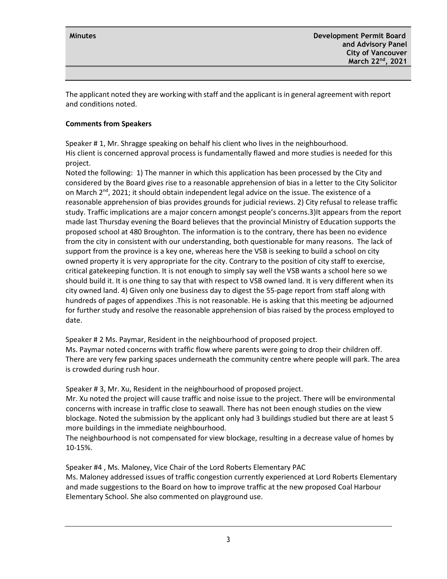The applicant noted they are working with staff and the applicant is in general agreement with report and conditions noted.

### **Comments from Speakers**

Speaker # 1, Mr. Shragge speaking on behalf his client who lives in the neighbourhood. His client is concerned approval process is fundamentally flawed and more studies is needed for this project.

Noted the following: 1) The manner in which this application has been processed by the City and considered by the Board gives rise to a reasonable apprehension of bias in a letter to the City Solicitor on March 2<sup>nd</sup>, 2021; it should obtain independent legal advice on the issue. The existence of a reasonable apprehension of bias provides grounds for judicial reviews. 2) City refusal to release traffic study. Traffic implications are a major concern amongst people's concerns.3)It appears from the report made last Thursday evening the Board believes that the provincial Ministry of Education supports the proposed school at 480 Broughton. The information is to the contrary, there has been no evidence from the city in consistent with our understanding, both questionable for many reasons. The lack of support from the province is a key one, whereas here the VSB is seeking to build a school on city owned property it is very appropriate for the city. Contrary to the position of city staff to exercise, critical gatekeeping function. It is not enough to simply say well the VSB wants a school here so we should build it. It is one thing to say that with respect to VSB owned land. It is very different when its city owned land. 4) Given only one business day to digest the 55-page report from staff along with hundreds of pages of appendixes .This is not reasonable. He is asking that this meeting be adjourned for further study and resolve the reasonable apprehension of bias raised by the process employed to date.

Speaker # 2 Ms. Paymar, Resident in the neighbourhood of proposed project.

Ms. Paymar noted concerns with traffic flow where parents were going to drop their children off. There are very few parking spaces underneath the community centre where people will park. The area is crowded during rush hour.

Speaker # 3, Mr. Xu, Resident in the neighbourhood of proposed project.

Mr. Xu noted the project will cause traffic and noise issue to the project. There will be environmental concerns with increase in traffic close to seawall. There has not been enough studies on the view blockage. Noted the submission by the applicant only had 3 buildings studied but there are at least 5 more buildings in the immediate neighbourhood.

The neighbourhood is not compensated for view blockage, resulting in a decrease value of homes by 10-15%.

Speaker #4 , Ms. Maloney, Vice Chair of the Lord Roberts Elementary PAC Ms. Maloney addressed issues of traffic congestion currently experienced at Lord Roberts Elementary and made suggestions to the Board on how to improve traffic at the new proposed Coal Harbour Elementary School. She also commented on playground use.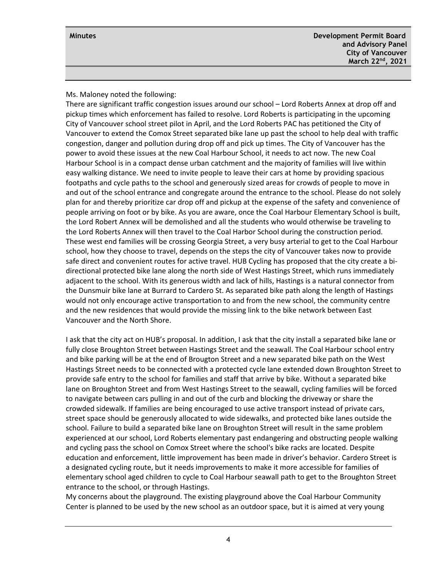Ms. Maloney noted the following:

There are significant traffic congestion issues around our school – Lord Roberts Annex at drop off and pickup times which enforcement has failed to resolve. Lord Roberts is participating in the upcoming City of Vancouver school street pilot in April, and the Lord Roberts PAC has petitioned the City of Vancouver to extend the Comox Street separated bike lane up past the school to help deal with traffic congestion, danger and pollution during drop off and pick up times. The City of Vancouver has the power to avoid these issues at the new Coal Harbour School, it needs to act now. The new Coal Harbour School is in a compact dense urban catchment and the majority of families will live within easy walking distance. We need to invite people to leave their cars at home by providing spacious footpaths and cycle paths to the school and generously sized areas for crowds of people to move in and out of the school entrance and congregate around the entrance to the school. Please do not solely plan for and thereby prioritize car drop off and pickup at the expense of the safety and convenience of people arriving on foot or by bike. As you are aware, once the Coal Harbour Elementary School is built, the Lord Robert Annex will be demolished and all the students who would otherwise be traveling to the Lord Roberts Annex will then travel to the Coal Harbor School during the construction period. These west end families will be crossing Georgia Street, a very busy arterial to get to the Coal Harbour school, how they choose to travel, depends on the steps the city of Vancouver takes now to provide safe direct and convenient routes for active travel. HUB Cycling has proposed that the city create a bidirectional protected bike lane along the north side of West Hastings Street, which runs immediately adjacent to the school. With its generous width and lack of hills, Hastings is a natural connector from the Dunsmuir bike lane at Burrard to Cardero St. As separated bike path along the length of Hastings would not only encourage active transportation to and from the new school, the community centre and the new residences that would provide the missing link to the bike network between East Vancouver and the North Shore.

I ask that the city act on HUB's proposal. In addition, I ask that the city install a separated bike lane or fully close Broughton Street between Hastings Street and the seawall. The Coal Harbour school entry and bike parking will be at the end of Brougton Street and a new separated bike path on the West Hastings Street needs to be connected with a protected cycle lane extended down Broughton Street to provide safe entry to the school for families and staff that arrive by bike. Without a separated bike lane on Broughton Street and from West Hastings Street to the seawall, cycling families will be forced to navigate between cars pulling in and out of the curb and blocking the driveway or share the crowded sidewalk. If families are being encouraged to use active transport instead of private cars, street space should be generously allocated to wide sidewalks, and protected bike lanes outside the school. Failure to build a separated bike lane on Broughton Street will result in the same problem experienced at our school, Lord Roberts elementary past endangering and obstructing people walking and cycling pass the school on Comox Street where the school's bike racks are located. Despite education and enforcement, little improvement has been made in driver's behavior. Cardero Street is a designated cycling route, but it needs improvements to make it more accessible for families of elementary school aged children to cycle to Coal Harbour seawall path to get to the Broughton Street entrance to the school, or through Hastings.

My concerns about the playground. The existing playground above the Coal Harbour Community Center is planned to be used by the new school as an outdoor space, but it is aimed at very young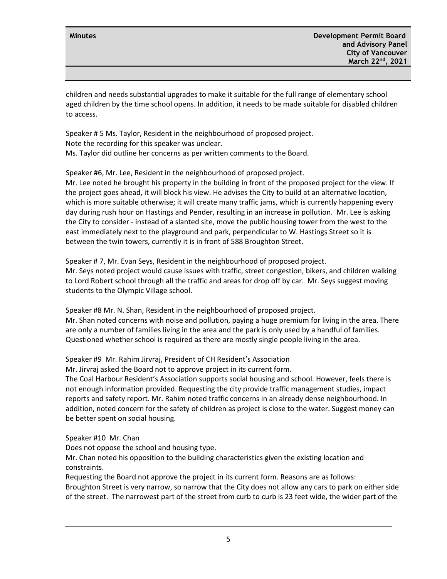children and needs substantial upgrades to make it suitable for the full range of elementary school aged children by the time school opens. In addition, it needs to be made suitable for disabled children to access.

Speaker # 5 Ms. Taylor, Resident in the neighbourhood of proposed project. Note the recording for this speaker was unclear. Ms. Taylor did outline her concerns as per written comments to the Board.

Speaker #6, Mr. Lee, Resident in the neighbourhood of proposed project.

Mr. Lee noted he brought his property in the building in front of the proposed project for the view. If the project goes ahead, it will block his view. He advises the City to build at an alternative location, which is more suitable otherwise; it will create many traffic jams, which is currently happening every day during rush hour on Hastings and Pender, resulting in an increase in pollution. Mr. Lee is asking the City to consider - instead of a slanted site, move the public housing tower from the west to the east immediately next to the playground and park, perpendicular to W. Hastings Street so it is between the twin towers, currently it is in front of 588 Broughton Street.

Speaker # 7, Mr. Evan Seys, Resident in the neighbourhood of proposed project. Mr. Seys noted project would cause issues with traffic, street congestion, bikers, and children walking to Lord Robert school through all the traffic and areas for drop off by car. Mr. Seys suggest moving students to the Olympic Village school.

Speaker #8 Mr. N. Shan, Resident in the neighbourhood of proposed project. Mr. Shan noted concerns with noise and pollution, paying a huge premium for living in the area. There are only a number of families living in the area and the park is only used by a handful of families. Questioned whether school is required as there are mostly single people living in the area.

Speaker #9 Mr. Rahim Jirvraj, President of CH Resident's Association

Mr. Jirvraj asked the Board not to approve project in its current form.

The Coal Harbour Resident's Association supports social housing and school. However, feels there is not enough information provided. Requesting the city provide traffic management studies, impact reports and safety report. Mr. Rahim noted traffic concerns in an already dense neighbourhood. In addition, noted concern for the safety of children as project is close to the water. Suggest money can be better spent on social housing.

Speaker #10 Mr. Chan

Does not oppose the school and housing type.

Mr. Chan noted his opposition to the building characteristics given the existing location and constraints.

Requesting the Board not approve the project in its current form. Reasons are as follows: Broughton Street is very narrow, so narrow that the City does not allow any cars to park on either side of the street. The narrowest part of the street from curb to curb is 23 feet wide, the wider part of the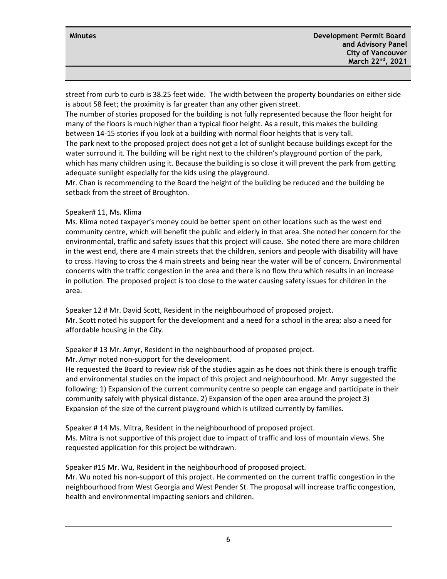street from curb to curb is 38.25 feet wide. The width between the property boundaries on either side is about 58 feet; the proximity is far greater than any other given street.

The number of stories proposed for the building is not fully represented because the floor height for many of the floors is much higher than a typical floor height. As a result, this makes the building between 14-15 stories if you look at a building with normal floor heights that is very tall.

The park next to the proposed project does not get a lot of sunlight because buildings except for the water surround it. The building will be right next to the children's playground portion of the park, which has many children using it. Because the building is so close it will prevent the park from getting adequate sunlight especially for the kids using the playground.

Mr. Chan is recommending to the Board the height of the building be reduced and the building be setback from the street of Broughton.

### Speaker# 11, Ms. Klima

Ms. Klima noted taxpayer's money could be better spent on other locations such as the west end community centre, which will benefit the public and elderly in that area. She noted her concern for the environmental, traffic and safety issues that this project will cause. She noted there are more children in the west end, there are 4 main streets that the children, seniors and people with disability will have to cross. Having to cross the 4 main streets and being near the water will be of concern. Environmental concerns with the traffic congestion in the area and there is no flow thru which results in an increase in pollution. The proposed project is too close to the water causing safety issues for children in the area.

Speaker 12 # Mr. David Scott, Resident in the neighbourhood of proposed project. Mr. Scott noted his support for the development and a need for a school in the area; also a need for affordable housing in the City.

Speaker # 13 Mr. Amyr, Resident in the neighbourhood of proposed project.

Mr. Amyr noted non-support for the development.

He requested the Board to review risk of the studies again as he does not think there is enough traffic and environmental studies on the impact of this project and neighbourhood. Mr. Amyr suggested the following: 1) Expansion of the current community centre so people can engage and participate in their community safely with physical distance. 2) Expansion of the open area around the project 3) Expansion of the size of the current playground which is utilized currently by families.

Speaker # 14 Ms. Mitra, Resident in the neighbourhood of proposed project. Ms. Mitra is not supportive of this project due to impact of traffic and loss of mountain views. She requested application for this project be withdrawn.

Speaker #15 Mr. Wu, Resident in the neighbourhood of proposed project.

Mr. Wu noted his non-support of this project. He commented on the current traffic congestion in the neighbourhood from West Georgia and West Pender St. The proposal will increase traffic congestion, health and environmental impacting seniors and children.